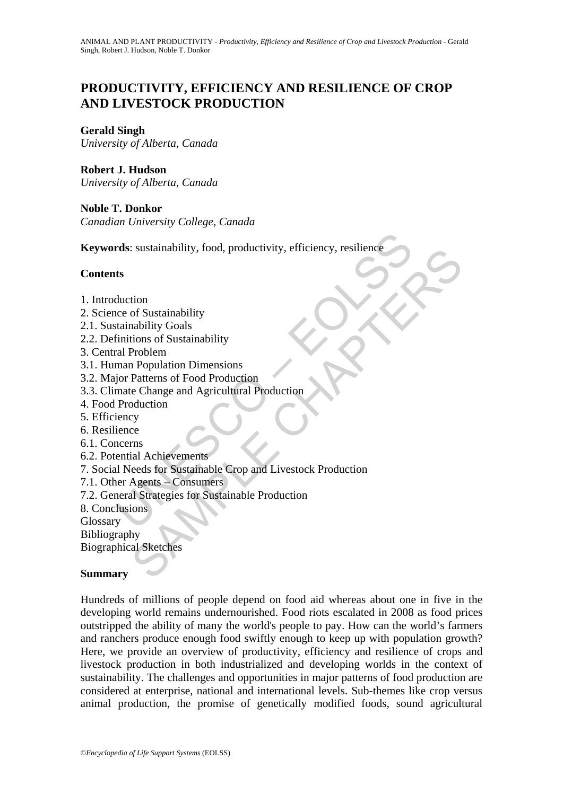# **PRODUCTIVITY, EFFICIENCY AND RESILIENCE OF CROP AND LIVESTOCK PRODUCTION**

## **Gerald Singh**

*University of Alberta, Canada* 

**Robert J. Hudson**  *University of Alberta, Canada* 

**Noble T. Donkor**  *Canadian University College, Canada* 

rds: sustainability, food, productivity, efficiency, resilience<br>
ts<br>
ts<br>
duction<br>
conce of Sustainability<br>
tainability Goals<br>
crimitions of Sustainability<br>
cal Problem<br>
man Population Dimensions<br>
join Patterns of Food Prod **Keywords**: sustainability, food, productivity, efficiency, resilience

### **Contents**

- 1. Introduction
- 2. Science of Sustainability
- 2.1. Sustainability Goals
- 2.2. Definitions of Sustainability
- 3. Central Problem
- 3.1. Human Population Dimensions
- 3.2. Major Patterns of Food Production
- 3.3. Climate Change and Agricultural Production
- 4. Food Production
- 5. Efficiency
- 6. Resilience
- 6.1. Concerns
- 6.2. Potential Achievements
- Sustainability<br>
Sustainability<br>
Considerably, Food, Productivity, emiciency, resinence<br>
of Sustainability<br>
Chapter Sustainability<br>
Troblem<br>
Perpellation Dimensions<br>
Patterns of Food Production<br>
Chapter Change and Agricultu 7. Social Needs for Sustainable Crop and Livestock Production
- 7.1. Other Agents Consumers
- 7.2. General Strategies for Sustainable Production

8. Conclusions

**Glossary** 

Bibliography

Biographical Sketches

#### **Summary**

Hundreds of millions of people depend on food aid whereas about one in five in the developing world remains undernourished. Food riots escalated in 2008 as food prices outstripped the ability of many the world's people to pay. How can the world's farmers and ranchers produce enough food swiftly enough to keep up with population growth? Here, we provide an overview of productivity, efficiency and resilience of crops and livestock production in both industrialized and developing worlds in the context of sustainability. The challenges and opportunities in major patterns of food production are considered at enterprise, national and international levels. Sub-themes like crop versus animal production, the promise of genetically modified foods, sound agricultural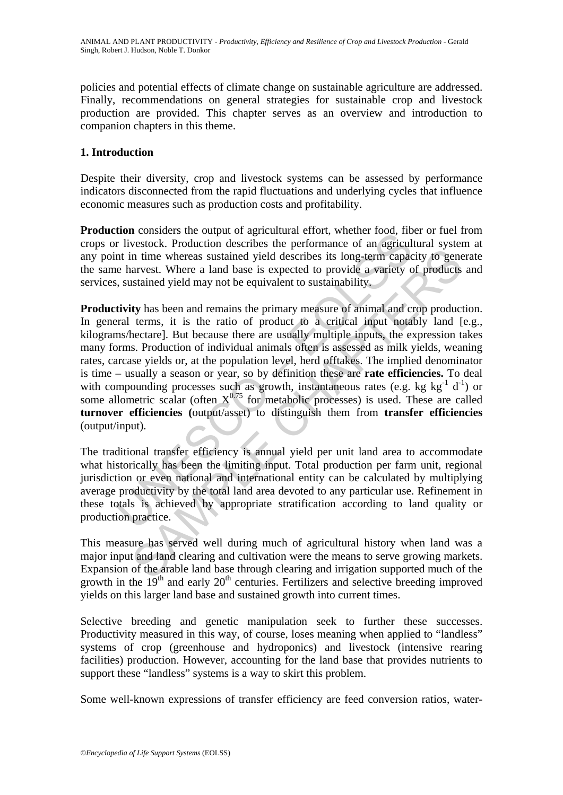policies and potential effects of climate change on sustainable agriculture are addressed. Finally, recommendations on general strategies for sustainable crop and livestock production are provided. This chapter serves as an overview and introduction to companion chapters in this theme.

## **1. Introduction**

Despite their diversity, crop and livestock systems can be assessed by performance indicators disconnected from the rapid fluctuations and underlying cycles that influence economic measures such as production costs and profitability.

**Production** considers the output of agricultural effort, whether food, fiber or fuel from crops or livestock. Production describes the performance of an agricultural system at any point in time whereas sustained yield describes its long-term capacity to generate the same harvest. Where a land base is expected to provide a variety of products and services, sustained yield may not be equivalent to sustainability.

**CONDIGETS** in evaption agricultation entity, when the rivestock. Production describes the performance of an agricult in time whereas sustained yield describes its long-term capaciters have been assessed to provide a vari in time whereas sustained yield describes its long-term capacity to generaty in time whereas sustained yield describes its long-term capacity of generaty statined yield may not be equivalent to sustainability,<br>tity has be **Productivity** has been and remains the primary measure of animal and crop production. In general terms, it is the ratio of product to a critical input notably land [e.g., kilograms/hectare]. But because there are usually multiple inputs, the expression takes many forms. Production of individual animals often is assessed as milk yields, weaning rates, carcase yields or, at the population level, herd offtakes. The implied denominator is time – usually a season or year, so by definition these are **rate efficiencies.** To deal with compounding processes such as growth, instantaneous rates (e.g. kg kg $^{-1}$  d<sup>-1</sup>) or some allometric scalar (often  $X^{0.75}$  for metabolic processes) is used. These are called **turnover efficiencies (**output/asset) to distinguish them from **transfer efficiencies** (output/input).

The traditional transfer efficiency is annual yield per unit land area to accommodate what historically has been the limiting input. Total production per farm unit, regional jurisdiction or even national and international entity can be calculated by multiplying average productivity by the total land area devoted to any particular use. Refinement in these totals is achieved by appropriate stratification according to land quality or production practice.

This measure has served well during much of agricultural history when land was a major input and land clearing and cultivation were the means to serve growing markets. Expansion of the arable land base through clearing and irrigation supported much of the growth in the  $19<sup>th</sup>$  and early  $20<sup>th</sup>$  centuries. Fertilizers and selective breeding improved yields on this larger land base and sustained growth into current times.

Selective breeding and genetic manipulation seek to further these successes. Productivity measured in this way, of course, loses meaning when applied to "landless" systems of crop (greenhouse and hydroponics) and livestock (intensive rearing facilities) production. However, accounting for the land base that provides nutrients to support these "landless" systems is a way to skirt this problem.

Some well-known expressions of transfer efficiency are feed conversion ratios, water-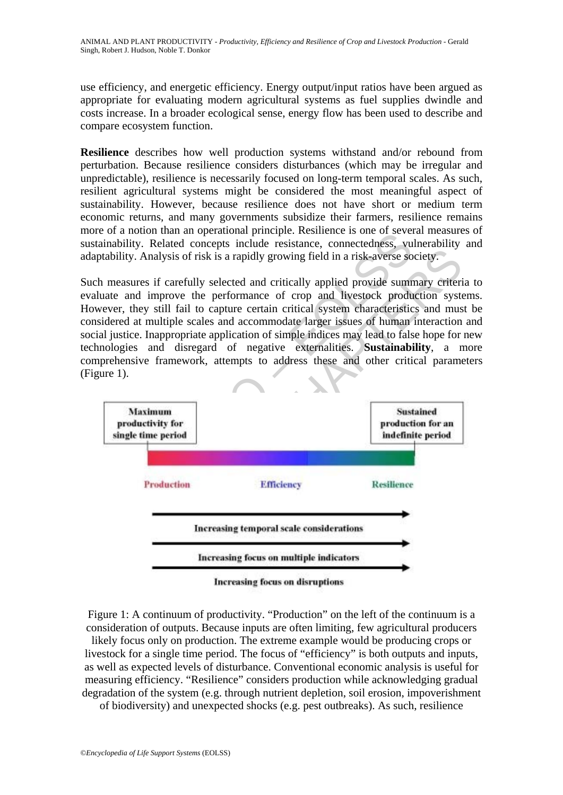use efficiency, and energetic efficiency. Energy output/input ratios have been argued as appropriate for evaluating modern agricultural systems as fuel supplies dwindle and costs increase. In a broader ecological sense, energy flow has been used to describe and compare ecosystem function.

**Resilience** describes how well production systems withstand and/or rebound from perturbation. Because resilience considers disturbances (which may be irregular and unpredictable), resilience is necessarily focused on long-term temporal scales. As such, resilient agricultural systems might be considered the most meaningful aspect of sustainability. However, because resilience does not have short or medium term economic returns, and many governments subsidize their farmers, resilience remains more of a notion than an operational principle. Resilience is one of several measures of sustainability. Related concepts include resistance, connectedness, vulnerability and adaptability. Analysis of risk is a rapidly growing field in a risk-averse society.

Such measures if carefully selected and critically applied provide summary criteria to evaluate and improve the performance of crop and livestock production systems. However, they still fail to capture certain critical system characteristics and must be considered at multiple scales and accommodate larger issues of human interaction and social justice. Inappropriate application of simple indices may lead to false hope for new technologies and disregard of negative externalities. **Sustainability**, a more comprehensive framework, attempts to address these and other critical parameters (Figure 1).



Figure 1: A continuum of productivity. "Production" on the left of the continuum is a consideration of outputs. Because inputs are often limiting, few agricultural producers

likely focus only on production. The extreme example would be producing crops or livestock for a single time period. The focus of "efficiency" is both outputs and inputs, as well as expected levels of disturbance. Conventional economic analysis is useful for measuring efficiency. "Resilience" considers production while acknowledging gradual degradation of the system (e.g. through nutrient depletion, soil erosion, impoverishment

of biodiversity) and unexpected shocks (e.g. pest outbreaks). As such, resilience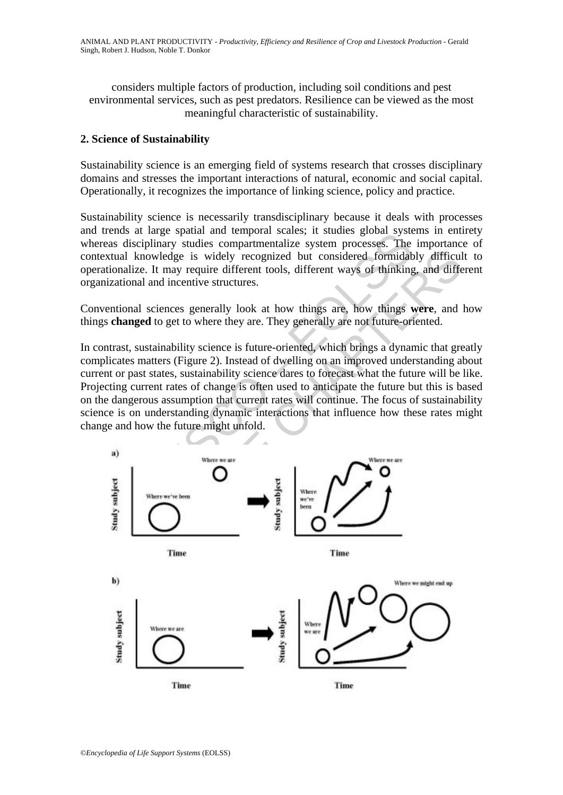considers multiple factors of production, including soil conditions and pest environmental services, such as pest predators. Resilience can be viewed as the most meaningful characteristic of sustainability.

## **2. Science of Sustainability**

Sustainability science is an emerging field of systems research that crosses disciplinary domains and stresses the important interactions of natural, economic and social capital. Operationally, it recognizes the importance of linking science, policy and practice.

Sustainability science is necessarily transdisciplinary because it deals with processes and trends at large spatial and temporal scales; it studies global systems in entirety whereas disciplinary studies compartmentalize system processes. The importance of contextual knowledge is widely recognized but considered formidably difficult to operationalize. It may require different tools, different ways of thinking, and different organizational and incentive structures.

Conventional sciences generally look at how things are, how things **were**, and how things **changed** to get to where they are. They generally are not future-oriented.

In contrast, sustainability science is future-oriented, which brings a dynamic that greatly complicates matters (Figure 2). Instead of dwelling on an improved understanding about current or past states, sustainability science dares to forecast what the future will be like. Projecting current rates of change is often used to anticipate the future but this is based on the dangerous assumption that current rates will continue. The focus of sustainability science is on understanding dynamic interactions that influence how these rates might change and how the future might unfold.

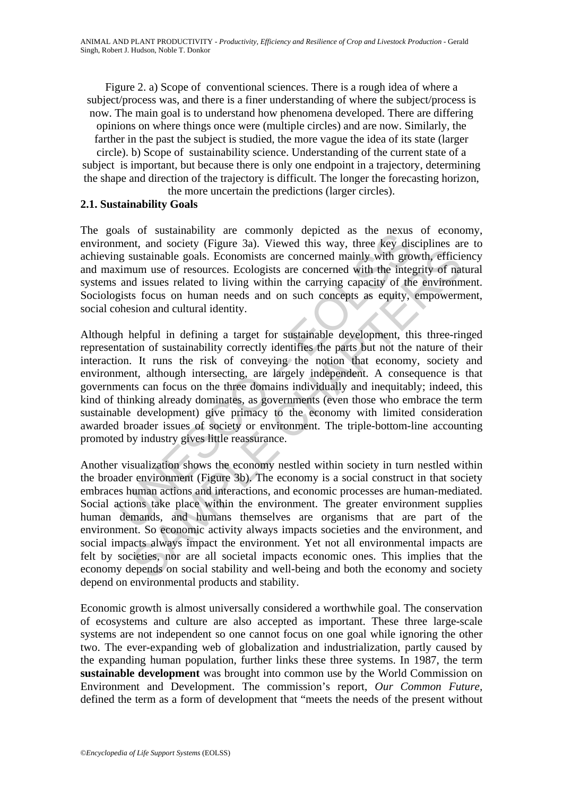Figure 2. a) Scope of conventional sciences. There is a rough idea of where a subject/process was, and there is a finer understanding of where the subject/process is now. The main goal is to understand how phenomena developed. There are differing opinions on where things once were (multiple circles) and are now. Similarly, the farther in the past the subject is studied, the more vague the idea of its state (larger circle). b) Scope of sustainability science. Understanding of the current state of a subject is important, but because there is only one endpoint in a trajectory, determining

the shape and direction of the trajectory is difficult. The longer the forecasting horizon, the more uncertain the predictions (larger circles).

#### **2.1. Sustainability Goals**

The goals of sustainability are commonly depicted as the nexus of economy, environment, and society (Figure 3a). Viewed this way, three key disciplines are to achieving sustainable goals. Economists are concerned mainly with growth, efficiency and maximum use of resources. Ecologists are concerned with the integrity of natural systems and issues related to living within the carrying capacity of the environment. Sociologists focus on human needs and on such concepts as equity, empowerment, social cohesion and cultural identity.

and society (Figure 3a). Viewed this way, three key dismediates on sustainable goals. Economists are concerned mainly with growth mum use of resources. Ecologists are concerned mainly with growth mum use of resources. Ecol Although helpful in defining a target for sustainable development, this three-ringed representation of sustainability correctly identifies the parts but not the nature of their interaction. It runs the risk of conveying the notion that economy, society and environment, although intersecting, are largely independent. A consequence is that governments can focus on the three domains individually and inequitably; indeed, this kind of thinking already dominates, as governments (even those who embrace the term sustainable development) give primacy to the economy with limited consideration awarded broader issues of society or environment. The triple-bottom-line accounting promoted by industry gives little reassurance.

structure and between more to result in the computer and state and between the stellength of resources of resources. Ecologists are concerned mainly with growth, efficieum use of resources. Ecologists are concerned mainly Another visualization shows the economy nestled within society in turn nestled within the broader environment (Figure 3b). The economy is a social construct in that society embraces human actions and interactions, and economic processes are human-mediated. Social actions take place within the environment. The greater environment supplies human demands, and humans themselves are organisms that are part of the environment. So economic activity always impacts societies and the environment, and social impacts always impact the environment. Yet not all environmental impacts are felt by societies, nor are all societal impacts economic ones. This implies that the economy depends on social stability and well-being and both the economy and society depend on environmental products and stability.

Economic growth is almost universally considered a worthwhile goal. The conservation of ecosystems and culture are also accepted as important. These three large-scale systems are not independent so one cannot focus on one goal while ignoring the other two. The ever-expanding web of globalization and industrialization, partly caused by the expanding human population, further links these three systems. In 1987, the term **sustainable development** was brought into common use by the World Commission on Environment and Development. The commission's report, *Our Common Future,* defined the term as a form of development that "meets the needs of the present without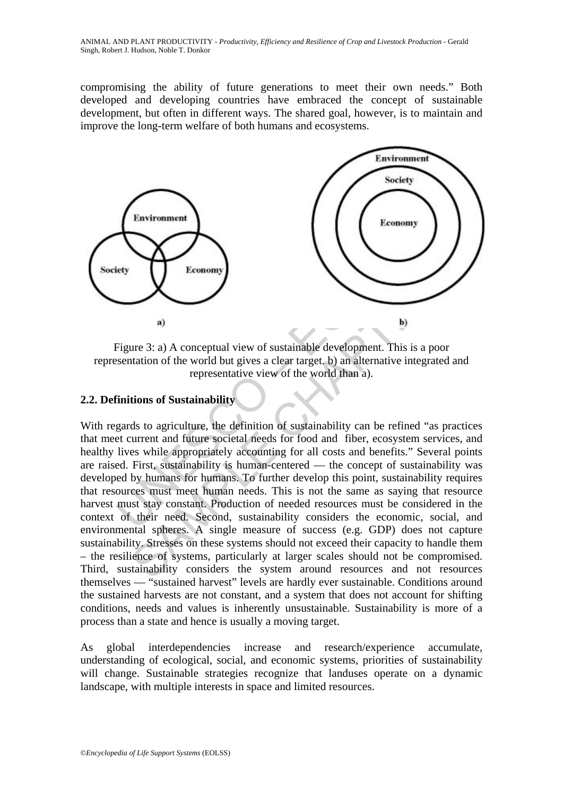compromising the ability of future generations to meet their own needs." Both developed and developing countries have embraced the concept of sustainable development, but often in different ways. The shared goal, however, is to maintain and improve the long-term welfare of both humans and ecosystems.



Figure 3: a) A conceptual view of sustainable development. This is a poor representation of the world but gives a clear target. b) an alternative integrated and representative view of the world than a).

## **2.2. Definitions of Sustainability**

Transmitted and the second strainability<br>
Transmitted and the second strainable development. This is<br>
Figure 3: a) A conceptual view of sustainable development. This is<br>
representative view of the world than a).<br>
Timitions Economy<br>
Beconomy<br>
a)<br>
Bure 3: a) A conceptual view of sustainable development. This is a poor<br>
tation of the world but gives a clear target. b) an alternative integrated an<br>
representative view of the world than a).<br>
tion With regards to agriculture, the definition of sustainability can be refined "as practices that meet current and future societal needs for food and fiber, ecosystem services, and healthy lives while appropriately accounting for all costs and benefits." Several points are raised. First, sustainability is human-centered — the concept of sustainability was developed by humans for humans. To further develop this point, sustainability requires that resources must meet human needs. This is not the same as saying that resource harvest must stay constant. Production of needed resources must be considered in the context of their need. Second, sustainability considers the economic, social, and environmental spheres. A single measure of success (e.g. GDP) does not capture sustainability. Stresses on these systems should not exceed their capacity to handle them – the resilience of systems, particularly at larger scales should not be compromised. Third, sustainability considers the system around resources and not resources themselves — "sustained harvest" levels are hardly ever sustainable. Conditions around the sustained harvests are not constant, and a system that does not account for shifting conditions, needs and values is inherently unsustainable. Sustainability is more of a process than a state and hence is usually a moving target.

As global interdependencies increase and research/experience accumulate, understanding of ecological, social, and economic systems, priorities of sustainability will change. Sustainable strategies recognize that landuses operate on a dynamic landscape, with multiple interests in space and limited resources.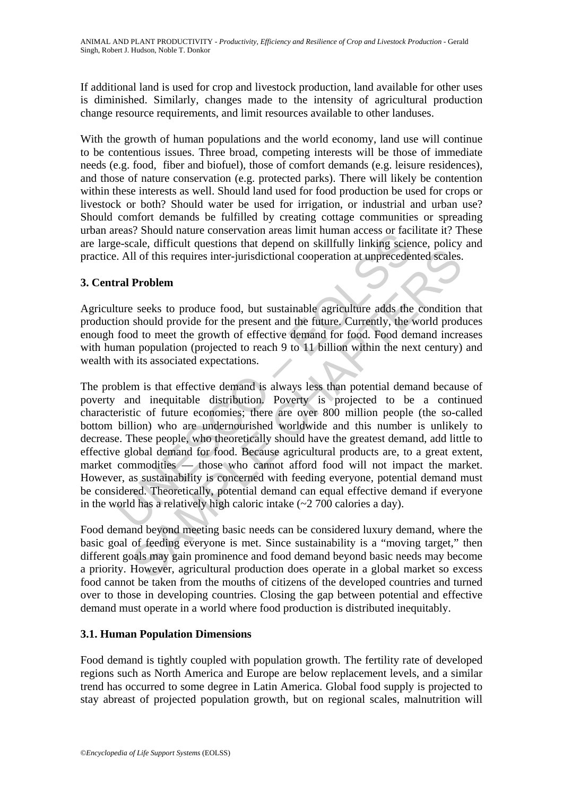If additional land is used for crop and livestock production, land available for other uses is diminished. Similarly, changes made to the intensity of agricultural production change resource requirements, and limit resources available to other landuses.

With the growth of human populations and the world economy, land use will continue to be contentious issues. Three broad, competing interests will be those of immediate needs (e.g. food, fiber and biofuel), those of comfort demands (e.g. leisure residences), and those of nature conservation (e.g. protected parks). There will likely be contention within these interests as well. Should land used for food production be used for crops or livestock or both? Should water be used for irrigation, or industrial and urban use? Should comfort demands be fulfilled by creating cottage communities or spreading urban areas? Should nature conservation areas limit human access or facilitate it? These are large-scale, difficult questions that depend on skillfully linking science, policy and practice. All of this requires inter-jurisdictional cooperation at unprecedented scales.

## **3. Central Problem**

Agriculture seeks to produce food, but sustainable agriculture adds the condition that production should provide for the present and the future. Currently, the world produces enough food to meet the growth of effective demand for food. Food demand increases with human population (projected to reach 9 to 11 billion within the next century) and wealth with its associated expectations.

esses: Solution and the conservation areas in minimizar access of race-<br>esseale, difficult questions that depend on skillfully linking sciences.<br>All of this requires inter-jurisdictional cooperation at unpreceder<br>ral **Prob** II of this requires inter-jurisdictional cooperation at unprecedented scales.<br> **Problem**<br>
2 seeks to produce food, but sustainable agriculture adds the condition<br>
should provide for the present and the future. Currently, The problem is that effective demand is always less than potential demand because of poverty and inequitable distribution. Poverty is projected to be a continued characteristic of future economies; there are over 800 million people (the so-called bottom billion) who are undernourished worldwide and this number is unlikely to decrease. These people, who theoretically should have the greatest demand, add little to effective global demand for food. Because agricultural products are, to a great extent, market commodities — those who cannot afford food will not impact the market. However, as sustainability is concerned with feeding everyone, potential demand must be considered. Theoretically, potential demand can equal effective demand if everyone in the world has a relatively high caloric intake  $(-2, 700)$  calories a day).

Food demand beyond meeting basic needs can be considered luxury demand, where the basic goal of feeding everyone is met. Since sustainability is a "moving target," then different goals may gain prominence and food demand beyond basic needs may become a priority. However, agricultural production does operate in a global market so excess food cannot be taken from the mouths of citizens of the developed countries and turned over to those in developing countries. Closing the gap between potential and effective demand must operate in a world where food production is distributed inequitably.

## **3.1. Human Population Dimensions**

Food demand is tightly coupled with population growth. The fertility rate of developed regions such as North America and Europe are below replacement levels, and a similar trend has occurred to some degree in Latin America. Global food supply is projected to stay abreast of projected population growth, but on regional scales, malnutrition will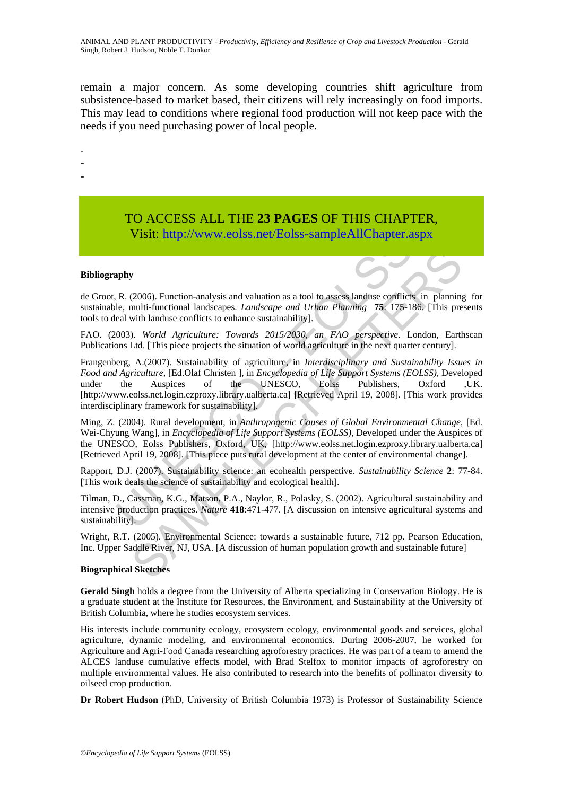remain a major concern. As some developing countries shift agriculture from subsistence-based to market based, their citizens will rely increasingly on food imports. This may lead to conditions where regional food production will not keep pace with the needs if you need purchasing power of local people.

-

- -
- -

## TO ACCESS ALL THE **23 PAGES** OF THIS CHAPTER, Visit[: http://www.eolss.net/Eolss-sampleAllChapter.aspx](https://www.eolss.net/ebooklib/sc_cart.aspx?File=E5-15A-00-00)

#### **Bibliography**

de Groot, R. (2006). Function-analysis and valuation as a tool to assess landuse conflicts in planning for sustainable, multi-functional landscapes. *Landscape and Urban Planning* **75**: 175-186. [This presents tools to deal with landuse conflicts to enhance sustainability].

FAO. (2003). *World Agriculture: Towards 2015/2030, an FAO perspective*. London, Earthscan Publications Ltd. [This piece projects the situation of world agriculture in the next quarter century].

**V1811:** http://www.eolss.net/Eolss-sampleAllChapter.a<br>
R. (2006). Function-analysis and valuation as a tool to assess landuse conflicts<br>
le, multi-functional landscapes. *Landscape and Urban Planning* 75: 175-11<br>
eal wit **(2006)**. Function-analysis and valuation as a tool to assess landase conflicts in planning<br>
(2006). Functional landscapes. *Landscape and Urban Plaming* **75:** 175-186. (This presult landuse conflicts to enhance sustainab Frangenberg, A.(2007). Sustainability of agriculture, in *Interdisciplinary and Sustainability Issues in Food and Agriculture*, [Ed.Olaf Christen ], in *Encyclopedia of Life Support Systems (EOLSS),* Developed under the Auspices of the UNESCO, Eolss Publishers, Oxford ,UK. [http://www.eolss.net.login.ezproxy.library.ualberta.ca] [Retrieved April 19, 2008]. [This work provides interdisciplinary framework for sustainability].

Ming, Z. (2004). Rural development, in *Anthropogenic Causes of Global Environmental Change*, [Ed. Wei-Chyung Wang], in *Encyclopedia of Life Support Systems (EOLSS),* Developed under the Auspices of the UNESCO, Eolss Publishers, Oxford, UK, [http://www.eolss.net.login.ezproxy.library.ualberta.ca] [Retrieved April 19, 2008]. [This piece puts rural development at the center of environmental change].

Rapport, D.J. (2007). Sustainability science: an ecohealth perspective. *Sustainability Science* **2**: 77-84. [This work deals the science of sustainability and ecological health].

Tilman, D., Cassman, K.G., Matson, P.A., Naylor, R., Polasky, S. (2002). Agricultural sustainability and intensive production practices. *Nature* **418**:471-477. [A discussion on intensive agricultural systems and sustainability].

Wright, R.T. (2005). Environmental Science: towards a sustainable future, 712 pp. Pearson Education, Inc. Upper Saddle River, NJ, USA. [A discussion of human population growth and sustainable future]

#### **Biographical Sketches**

**Gerald Singh** holds a degree from the University of Alberta specializing in Conservation Biology. He is a graduate student at the Institute for Resources, the Environment, and Sustainability at the University of British Columbia, where he studies ecosystem services.

His interests include community ecology, ecosystem ecology, environmental goods and services, global agriculture, dynamic modeling, and environmental economics. During 2006-2007, he worked for Agriculture and Agri-Food Canada researching agroforestry practices. He was part of a team to amend the ALCES landuse cumulative effects model, with Brad Stelfox to monitor impacts of agroforestry on multiple environmental values. He also contributed to research into the benefits of pollinator diversity to oilseed crop production.

**Dr Robert Hudson** (PhD, University of British Columbia 1973) is Professor of Sustainability Science